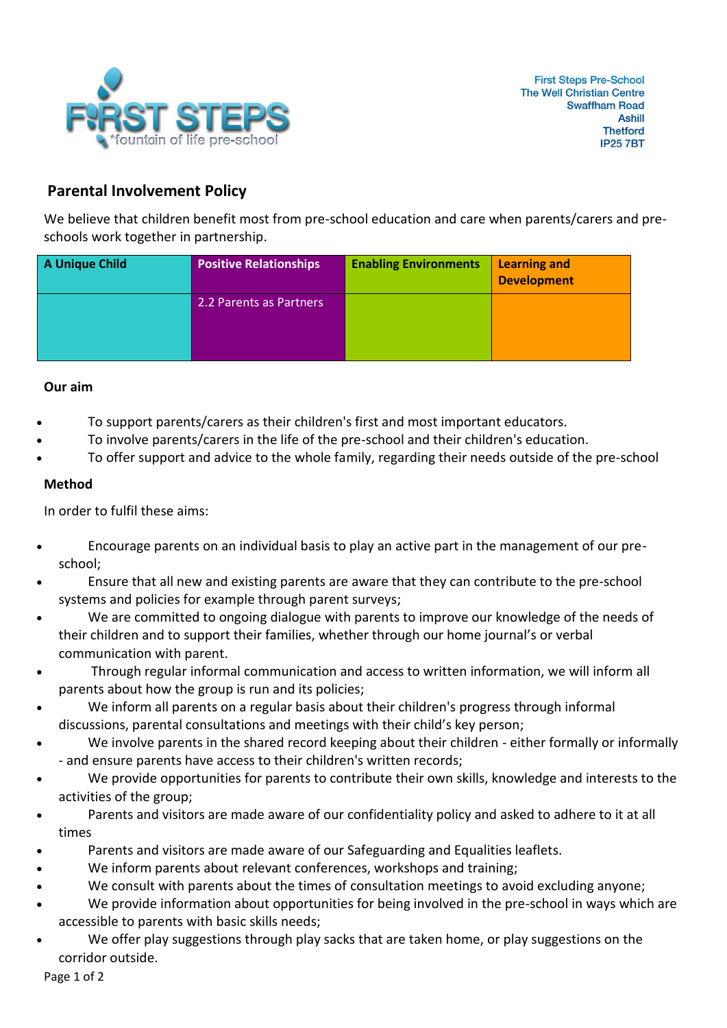

## **Parental Involvement Policy**

We believe that children benefit most from pre-school education and care when parents/carers and preschools work together in partnership.

| A Unique Child | <b>Positive Relationships</b> | <b>Enabling Environments</b> | <b>Learning and</b><br><b>Development</b> |
|----------------|-------------------------------|------------------------------|-------------------------------------------|
|                | 2.2 Parents as Partners       |                              |                                           |

## **Our aim**

- To support parents/carers as their children's first and most important educators.
- To involve parents/carers in the life of the pre-school and their children's education.
- To offer support and advice to the whole family, regarding their needs outside of the pre-school

## **Method**

In order to fulfil these aims:

- Encourage parents on an individual basis to play an active part in the management of our preschool;
- Ensure that all new and existing parents are aware that they can contribute to the pre-school systems and policies for example through parent surveys;
- We are committed to ongoing dialogue with parents to improve our knowledge of the needs of their children and to support their families, whether through our home journal's or verbal communication with parent.
- Through regular informal communication and access to written information, we will inform all parents about how the group is run and its policies;
- We inform all parents on a regular basis about their children's progress through informal discussions, parental consultations and meetings with their child's key person;
- We involve parents in the shared record keeping about their children either formally or informally - and ensure parents have access to their children's written records;
- We provide opportunities for parents to contribute their own skills, knowledge and interests to the activities of the group;
- Parents and visitors are made aware of our confidentiality policy and asked to adhere to it at all times
- Parents and visitors are made aware of our Safeguarding and Equalities leaflets.
- We inform parents about relevant conferences, workshops and training;
- We consult with parents about the times of consultation meetings to avoid excluding anyone;
- We provide information about opportunities for being involved in the pre-school in ways which are accessible to parents with basic skills needs;
- We offer play suggestions through play sacks that are taken home, or play suggestions on the corridor outside.